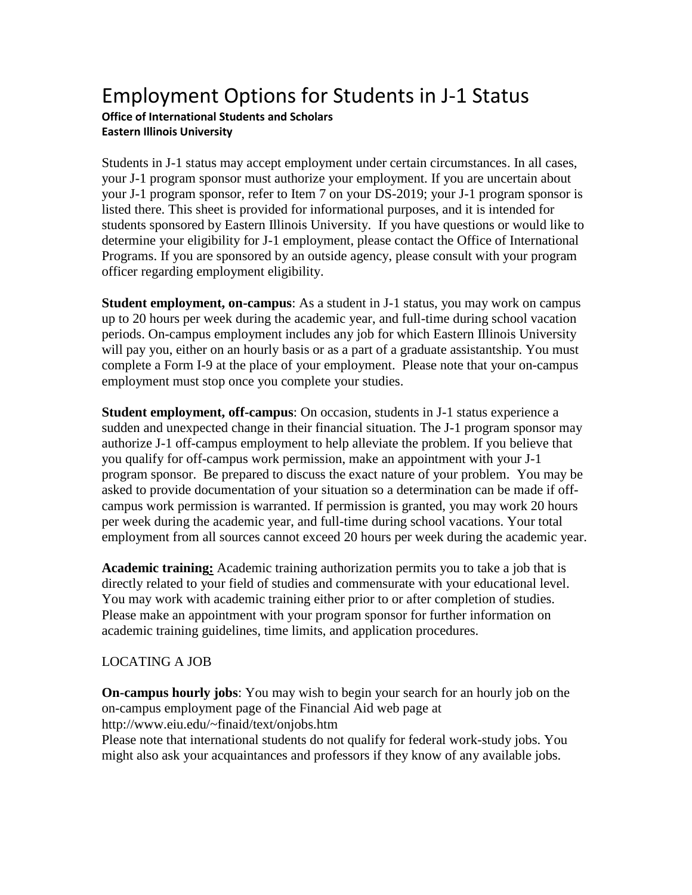## Employment Options for Students in J-1 Status

## **Office of International Students and Scholars Eastern Illinois University**

Students in J-1 status may accept employment under certain circumstances. In all cases, your J-1 program sponsor must authorize your employment. If you are uncertain about your J-1 program sponsor, refer to Item 7 on your DS-2019; your J-1 program sponsor is listed there. This sheet is provided for informational purposes, and it is intended for students sponsored by Eastern Illinois University. If you have questions or would like to determine your eligibility for J-1 employment, please contact the Office of International Programs. If you are sponsored by an outside agency, please consult with your program officer regarding employment eligibility.

**Student employment, on-campus**: As a student in J-1 status, you may work on campus up to 20 hours per week during the academic year, and full-time during school vacation periods. On-campus employment includes any job for which Eastern Illinois University will pay you, either on an hourly basis or as a part of a graduate assistantship. You must complete a Form I-9 at the place of your employment. Please note that your on-campus employment must stop once you complete your studies.

**Student employment, off-campus**: On occasion, students in J-1 status experience a sudden and unexpected change in their financial situation. The J-1 program sponsor may authorize J-1 off-campus employment to help alleviate the problem. If you believe that you qualify for off-campus work permission, make an appointment with your J-1 program sponsor. Be prepared to discuss the exact nature of your problem. You may be asked to provide documentation of your situation so a determination can be made if offcampus work permission is warranted. If permission is granted, you may work 20 hours per week during the academic year, and full-time during school vacations. Your total employment from all sources cannot exceed 20 hours per week during the academic year.

**Academic training:** Academic training authorization permits you to take a job that is directly related to your field of studies and commensurate with your educational level. You may work with academic training either prior to or after completion of studies. Please make an appointment with your program sponsor for further information on academic training guidelines, time limits, and application procedures.

## LOCATING A JOB

**On-campus hourly jobs**: You may wish to begin your search for an hourly job on the on-campus employment page of the Financial Aid web page at http://www.eiu.edu/~finaid/text/onjobs.htm Please note that international students do not qualify for federal work-study jobs. You might also ask your acquaintances and professors if they know of any available jobs.